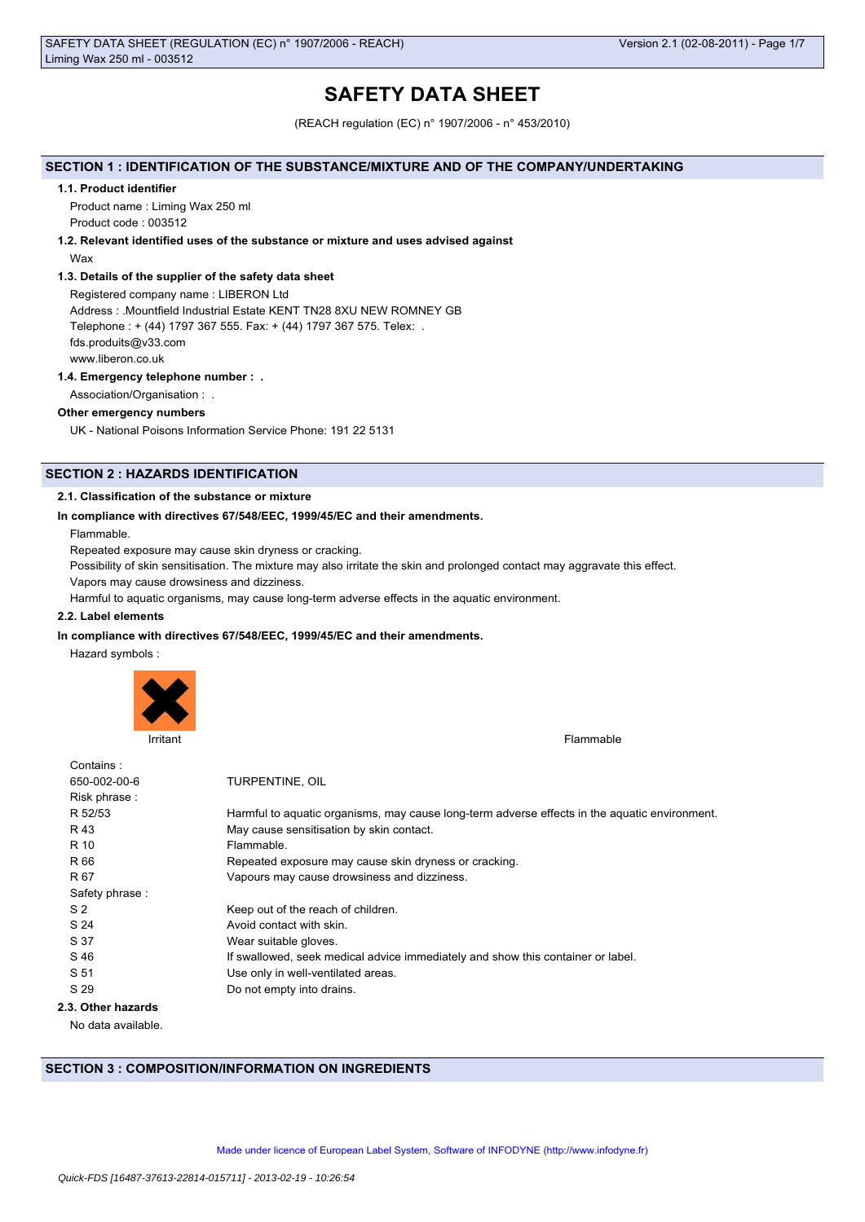# **SAFETY DATA SHEET**

(REACH regulation (EC) n° 1907/2006 - n° 453/2010)

## **SECTION 1 : IDENTIFICATION OF THE SUBSTANCE/MIXTURE AND OF THE COMPANY/UNDERTAKING**

#### **1.1. Product identifier**

Product name : Liming Wax 250 ml Product code : 003512

## **1.2. Relevant identified uses of the substance or mixture and uses advised against**

Wax

### **1.3. Details of the supplier of the safety data sheet**

Registered company name : LIBERON Ltd Address : .Mountfield Industrial Estate KENT TN28 8XU NEW ROMNEY GB Telephone : + (44) 1797 367 555. Fax: + (44) 1797 367 575. Telex: . fds.produits@v33.com www.liberon.co.uk

## **1.4. Emergency telephone number : .**

Association/Organisation : .

### **Other emergency numbers**

UK - National Poisons Information Service Phone: 191 22 5131

## **SECTION 2 : HAZARDS IDENTIFICATION**

## **2.1. Classification of the substance or mixture**

## **In compliance with directives 67/548/EEC, 1999/45/EC and their amendments.**

Flammable.

Repeated exposure may cause skin dryness or cracking.

Possibility of skin sensitisation. The mixture may also irritate the skin and prolonged contact may aggravate this effect.

Vapors may cause drowsiness and dizziness.

Harmful to aquatic organisms, may cause long-term adverse effects in the aquatic environment.

## **2.2. Label elements**

## **In compliance with directives 67/548/EEC, 1999/45/EC and their amendments.**

Hazard symbols :



Irritant Flammable **Institute of the Community Community** Community Community Community Community Community Community Community Community Community Community Community Community Community Community Community Community Comm

| Contains:          |                                                                                               |
|--------------------|-----------------------------------------------------------------------------------------------|
| 650-002-00-6       | TURPENTINE, OIL                                                                               |
| Risk phrase:       |                                                                                               |
| R 52/53            | Harmful to aquatic organisms, may cause long-term adverse effects in the aquatic environment. |
| R 43               | May cause sensitisation by skin contact.                                                      |
| R 10               | Flammable.                                                                                    |
| R 66               | Repeated exposure may cause skin dryness or cracking.                                         |
| R 67               | Vapours may cause drowsiness and dizziness.                                                   |
| Safety phrase:     |                                                                                               |
| S <sub>2</sub>     | Keep out of the reach of children.                                                            |
| S 24               | Avoid contact with skin.                                                                      |
| S 37               | Wear suitable gloves.                                                                         |
| S 46               | If swallowed, seek medical advice immediately and show this container or label.               |
| S 51               | Use only in well-ventilated areas.                                                            |
| S 29               | Do not empty into drains.                                                                     |
| 2.3. Other hazards |                                                                                               |
|                    |                                                                                               |

No data available.

## **SECTION 3 : COMPOSITION/INFORMATION ON INGREDIENTS**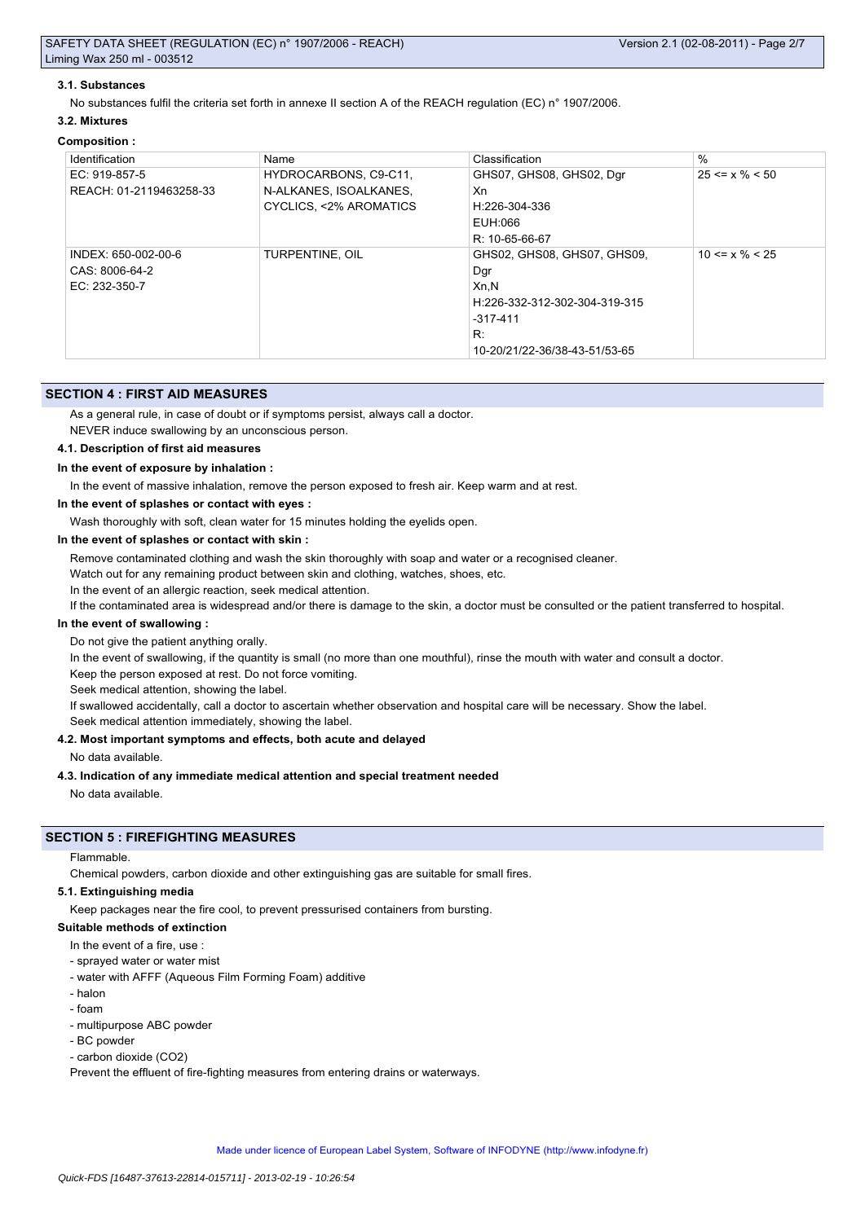### **3.1. Substances**

No substances fulfil the criteria set forth in annexe II section A of the REACH regulation (EC) n° 1907/2006.

### **3.2. Mixtures**

#### **Composition :**

| Identification          | Name                   | Classification                | $\frac{0}{0}$        |
|-------------------------|------------------------|-------------------------------|----------------------|
| EC: 919-857-5           | HYDROCARBONS, C9-C11,  | GHS07, GHS08, GHS02, Dgr      | $25 \le x \% \le 50$ |
| REACH: 01-2119463258-33 | N-ALKANES, ISOALKANES, | Xn                            |                      |
|                         | CYCLICS, <2% AROMATICS | H:226-304-336                 |                      |
|                         |                        | EUH:066                       |                      |
|                         |                        | R: 10-65-66-67                |                      |
| INDEX: 650-002-00-6     | TURPENTINE, OIL        | GHS02, GHS08, GHS07, GHS09,   | $10 \le x \% \le 25$ |
| CAS: 8006-64-2          |                        | Dgr                           |                      |
| EC: 232-350-7           |                        | Xn, N                         |                      |
|                         |                        | H:226-332-312-302-304-319-315 |                      |
|                         |                        | $-317-411$                    |                      |
|                         |                        | R:                            |                      |
|                         |                        | 10-20/21/22-36/38-43-51/53-65 |                      |

### **SECTION 4 : FIRST AID MEASURES**

As a general rule, in case of doubt or if symptoms persist, always call a doctor.

NEVER induce swallowing by an unconscious person.

### **4.1. Description of first aid measures**

#### **In the event of exposure by inhalation :**

In the event of massive inhalation, remove the person exposed to fresh air. Keep warm and at rest.

**In the event of splashes or contact with eyes :**

Wash thoroughly with soft, clean water for 15 minutes holding the eyelids open.

#### **In the event of splashes or contact with skin :**

Remove contaminated clothing and wash the skin thoroughly with soap and water or a recognised cleaner.

Watch out for any remaining product between skin and clothing, watches, shoes, etc.

In the event of an allergic reaction, seek medical attention.

If the contaminated area is widespread and/or there is damage to the skin, a doctor must be consulted or the patient transferred to hospital.

### **In the event of swallowing :**

Do not give the patient anything orally.

In the event of swallowing, if the quantity is small (no more than one mouthful), rinse the mouth with water and consult a doctor.

Keep the person exposed at rest. Do not force vomiting.

Seek medical attention, showing the label.

If swallowed accidentally, call a doctor to ascertain whether observation and hospital care will be necessary. Show the label.

Seek medical attention immediately, showing the label.

### **4.2. Most important symptoms and effects, both acute and delayed**

No data available.

#### **4.3. Indication of any immediate medical attention and special treatment needed**

No data available.

## **SECTION 5 : FIREFIGHTING MEASURES**

Flammable.

Chemical powders, carbon dioxide and other extinguishing gas are suitable for small fires.

#### **5.1. Extinguishing media**

Keep packages near the fire cool, to prevent pressurised containers from bursting.

### **Suitable methods of extinction**

- In the event of a fire, use
- sprayed water or water mist
- water with AFFF (Aqueous Film Forming Foam) additive
- halon
- foam
- multipurpose ABC powder
- BC powder
- carbon dioxide (CO2)

Prevent the effluent of fire-fighting measures from entering drains or waterways.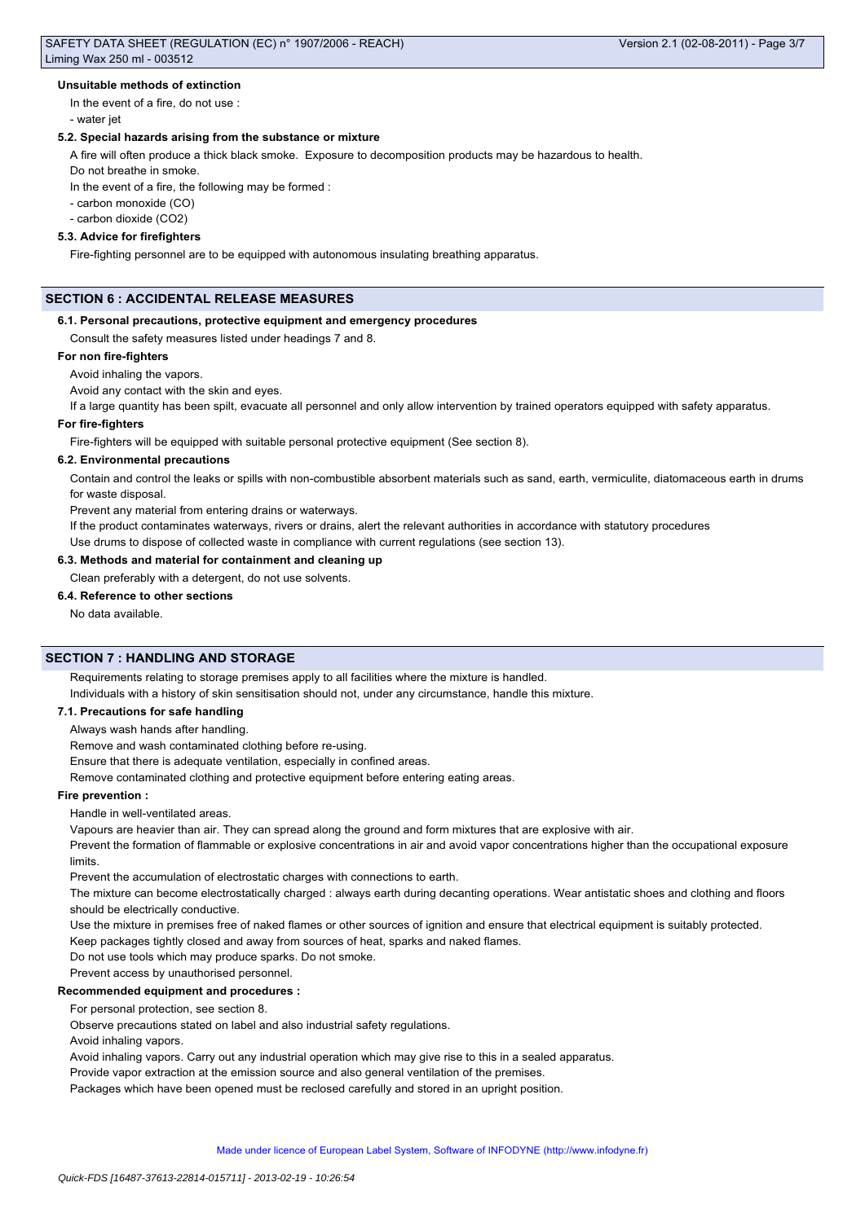### **Unsuitable methods of extinction**

In the event of a fire, do not use :

- water jet

## **5.2. Special hazards arising from the substance or mixture**

A fire will often produce a thick black smoke. Exposure to decomposition products may be hazardous to health.

Do not breathe in smoke.

In the event of a fire, the following may be formed :

- carbon monoxide (CO)

- carbon dioxide (CO2)

## **5.3. Advice for firefighters**

Fire-fighting personnel are to be equipped with autonomous insulating breathing apparatus.

## **SECTION 6 : ACCIDENTAL RELEASE MEASURES**

#### **6.1. Personal precautions, protective equipment and emergency procedures**

Consult the safety measures listed under headings 7 and 8.

#### **For non fire-fighters**

## Avoid inhaling the vapors.

Avoid any contact with the skin and eyes.

If a large quantity has been spilt, evacuate all personnel and only allow intervention by trained operators equipped with safety apparatus.

### **For fire-fighters**

Fire-fighters will be equipped with suitable personal protective equipment (See section 8).

#### **6.2. Environmental precautions**

Contain and control the leaks or spills with non-combustible absorbent materials such as sand, earth, vermiculite, diatomaceous earth in drums for waste disposal.

Prevent any material from entering drains or waterways.

If the product contaminates waterways, rivers or drains, alert the relevant authorities in accordance with statutory procedures

Use drums to dispose of collected waste in compliance with current regulations (see section 13).

## **6.3. Methods and material for containment and cleaning up**

Clean preferably with a detergent, do not use solvents.

## **6.4. Reference to other sections**

No data available.

## **SECTION 7 : HANDLING AND STORAGE**

Requirements relating to storage premises apply to all facilities where the mixture is handled. Individuals with a history of skin sensitisation should not, under any circumstance, handle this mixture.

### **7.1. Precautions for safe handling**

Always wash hands after handling.

Remove and wash contaminated clothing before re-using.

Ensure that there is adequate ventilation, especially in confined areas.

Remove contaminated clothing and protective equipment before entering eating areas.

## **Fire prevention :**

Handle in well-ventilated areas.

Vapours are heavier than air. They can spread along the ground and form mixtures that are explosive with air.

Prevent the formation of flammable or explosive concentrations in air and avoid vapor concentrations higher than the occupational exposure limits.

Prevent the accumulation of electrostatic charges with connections to earth.

The mixture can become electrostatically charged : always earth during decanting operations. Wear antistatic shoes and clothing and floors should be electrically conductive.

Use the mixture in premises free of naked flames or other sources of ignition and ensure that electrical equipment is suitably protected.

Keep packages tightly closed and away from sources of heat, sparks and naked flames.

Do not use tools which may produce sparks. Do not smoke.

Prevent access by unauthorised personnel.

### **Recommended equipment and procedures :**

For personal protection, see section 8.

Observe precautions stated on label and also industrial safety regulations.

Avoid inhaling vapors.

Avoid inhaling vapors. Carry out any industrial operation which may give rise to this in a sealed apparatus.

Provide vapor extraction at the emission source and also general ventilation of the premises.

Packages which have been opened must be reclosed carefully and stored in an upright position.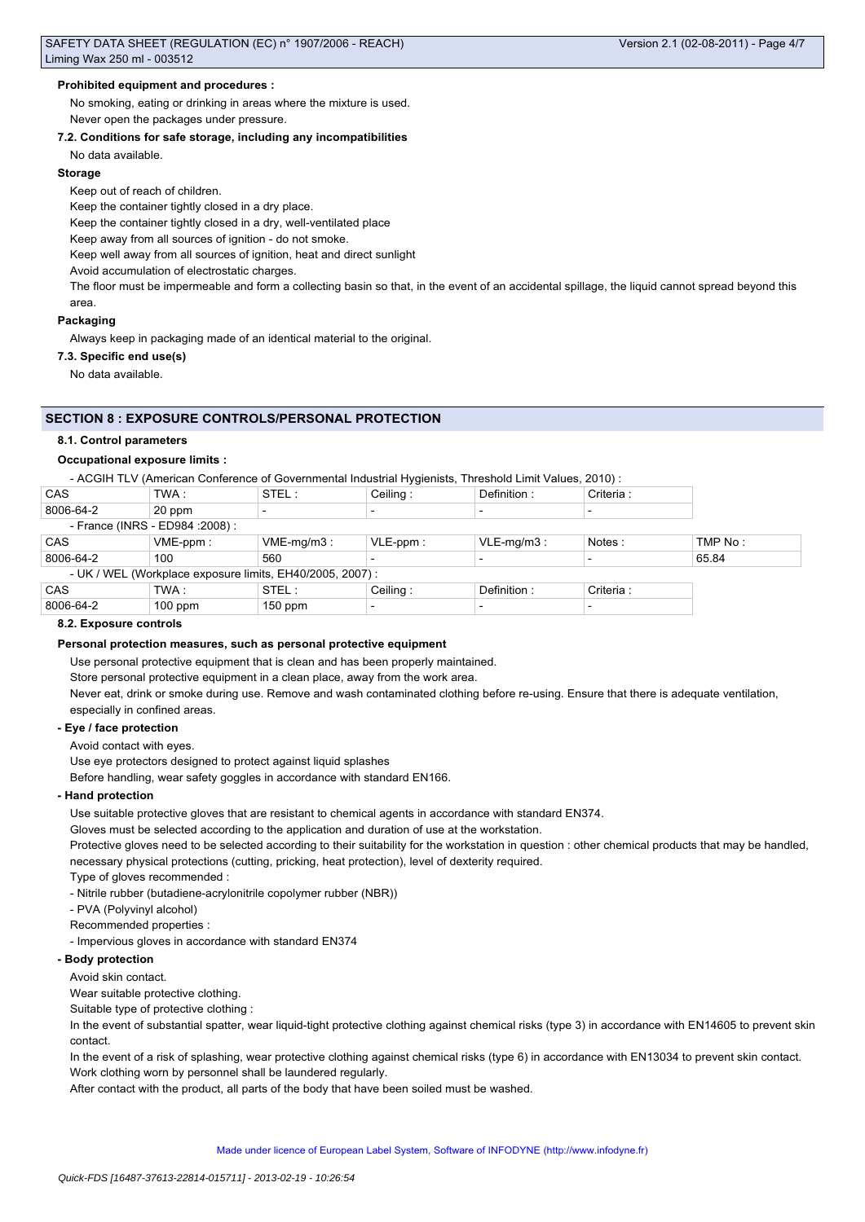## **Prohibited equipment and procedures :**

No smoking, eating or drinking in areas where the mixture is used. Never open the packages under pressure.

#### **7.2. Conditions for safe storage, including any incompatibilities**

No data available.

#### **Storage**

Keep out of reach of children.

Keep the container tightly closed in a dry place.

Keep the container tightly closed in a dry, well-ventilated place

Keep away from all sources of ignition - do not smoke.

Keep well away from all sources of ignition, heat and direct sunlight

Avoid accumulation of electrostatic charges.

The floor must be impermeable and form a collecting basin so that, in the event of an accidental spillage, the liquid cannot spread beyond this area.

#### **Packaging**

Always keep in packaging made of an identical material to the original.

### **7.3. Specific end use(s)**

No data available.

## **SECTION 8 : EXPOSURE CONTROLS/PERSONAL PROTECTION**

### **8.1. Control parameters**

## **Occupational exposure limits :**

- ACGIH TLV (American Conference of Governmental Industrial Hygienists, Threshold Limit Values, 2010) :

| CAS                                                       | TWA :       | STEL:         | Ceiling:                 | Definition:              | Criteria : |         |
|-----------------------------------------------------------|-------------|---------------|--------------------------|--------------------------|------------|---------|
| 8006-64-2                                                 | 20 ppm      |               | -                        |                          |            |         |
| - France (INRS - ED984 : 2008) :                          |             |               |                          |                          |            |         |
| CAS                                                       | $VME-ppm$ : | $VME-mq/m3$ : | $VLE-ppm$ :              | $VLE-mq/m3$ :            | Notes:     | TMP No: |
| 8006-64-2                                                 | 100         | 560           |                          |                          |            | 65.84   |
| - UK / WEL (Workplace exposure limits, EH40/2005, 2007) : |             |               |                          |                          |            |         |
| CAS                                                       | TWA :       | STEL:         | Ceiling:                 | Definition:              | Criteria:  |         |
| 8006-64-2                                                 | $100$ ppm   | $150$ ppm     | $\overline{\phantom{a}}$ | $\overline{\phantom{0}}$ |            |         |

#### **8.2. Exposure controls**

### **Personal protection measures, such as personal protective equipment**

Use personal protective equipment that is clean and has been properly maintained.

Store personal protective equipment in a clean place, away from the work area.

Never eat, drink or smoke during use. Remove and wash contaminated clothing before re-using. Ensure that there is adequate ventilation, especially in confined areas.

#### **- Eye / face protection**

Avoid contact with eyes.

Use eye protectors designed to protect against liquid splashes

Before handling, wear safety goggles in accordance with standard EN166.

#### **- Hand protection**

Use suitable protective gloves that are resistant to chemical agents in accordance with standard EN374.

Gloves must be selected according to the application and duration of use at the workstation.

Protective gloves need to be selected according to their suitability for the workstation in question : other chemical products that may be handled, necessary physical protections (cutting, pricking, heat protection), level of dexterity required.

Type of gloves recommended :

- Nitrile rubber (butadiene-acrylonitrile copolymer rubber (NBR))

- PVA (Polyvinyl alcohol)

Recommended properties :

- Impervious gloves in accordance with standard EN374

### **- Body protection**

Avoid skin contact.

Wear suitable protective clothing.

Suitable type of protective clothing :

In the event of substantial spatter, wear liquid-tight protective clothing against chemical risks (type 3) in accordance with EN14605 to prevent skin contact.

In the event of a risk of splashing, wear protective clothing against chemical risks (type 6) in accordance with EN13034 to prevent skin contact. Work clothing worn by personnel shall be laundered regularly.

After contact with the product, all parts of the body that have been soiled must be washed.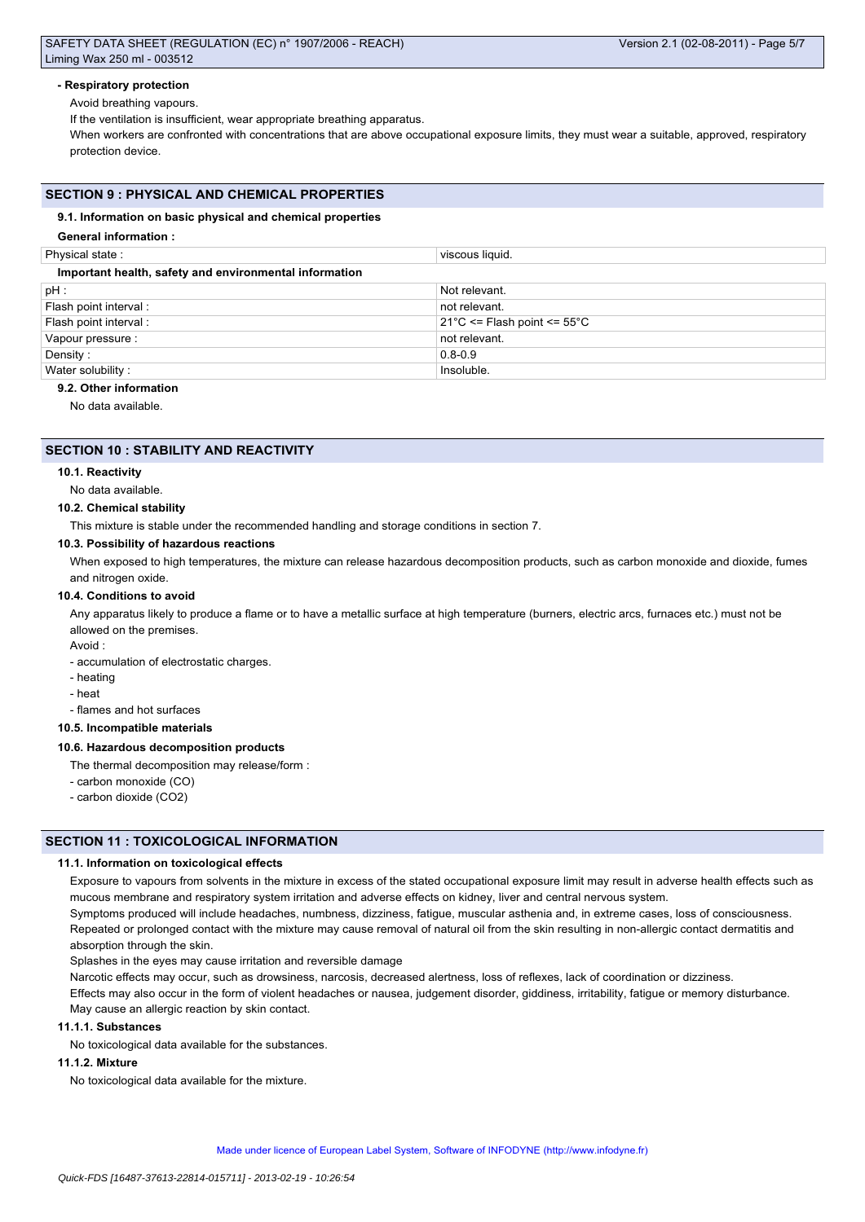## SAFETY DATA SHEET (REGULATION (EC) n° 1907/2006 - REACH) Liming Wax 250 ml - 003512

## **- Respiratory protection**

Avoid breathing vapours.

If the ventilation is insufficient, wear appropriate breathing apparatus.

When workers are confronted with concentrations that are above occupational exposure limits, they must wear a suitable, approved, respiratory protection device.

## **SECTION 9 : PHYSICAL AND CHEMICAL PROPERTIES**

## **9.1. Information on basic physical and chemical properties**

## **General information :**

| Physical state:                                        | viscous liquid.                                 |  |  |  |
|--------------------------------------------------------|-------------------------------------------------|--|--|--|
| Important health, safety and environmental information |                                                 |  |  |  |
| pH :                                                   | Not relevant.                                   |  |  |  |
| Flash point interval:                                  | not relevant.                                   |  |  |  |
| Flash point interval :                                 | $21^{\circ}$ C <= Flash point <= $55^{\circ}$ C |  |  |  |
| Vapour pressure :                                      | not relevant.                                   |  |  |  |
| Density:                                               | $0.8 - 0.9$                                     |  |  |  |
| Water solubility:                                      | Insoluble.                                      |  |  |  |
|                                                        |                                                 |  |  |  |

## **9.2. Other information**

No data available.

## **SECTION 10 : STABILITY AND REACTIVITY**

### **10.1. Reactivity**

No data available.

### **10.2. Chemical stability**

This mixture is stable under the recommended handling and storage conditions in section 7.

## **10.3. Possibility of hazardous reactions**

When exposed to high temperatures, the mixture can release hazardous decomposition products, such as carbon monoxide and dioxide, fumes and nitrogen oxide.

## **10.4. Conditions to avoid**

Any apparatus likely to produce a flame or to have a metallic surface at high temperature (burners, electric arcs, furnaces etc.) must not be allowed on the premises.

Avoid :

- accumulation of electrostatic charges.

- heating
- heat

- flames and hot surfaces

### **10.5. Incompatible materials**

### **10.6. Hazardous decomposition products**

- The thermal decomposition may release/form :
- carbon monoxide (CO)
- carbon dioxide (CO2)

## **SECTION 11 : TOXICOLOGICAL INFORMATION**

### **11.1. Information on toxicological effects**

Exposure to vapours from solvents in the mixture in excess of the stated occupational exposure limit may result in adverse health effects such as mucous membrane and respiratory system irritation and adverse effects on kidney, liver and central nervous system.

Symptoms produced will include headaches, numbness, dizziness, fatigue, muscular asthenia and, in extreme cases, loss of consciousness. Repeated or prolonged contact with the mixture may cause removal of natural oil from the skin resulting in non-allergic contact dermatitis and absorption through the skin.

Splashes in the eyes may cause irritation and reversible damage

Narcotic effects may occur, such as drowsiness, narcosis, decreased alertness, loss of reflexes, lack of coordination or dizziness. Effects may also occur in the form of violent headaches or nausea, judgement disorder, giddiness, irritability, fatigue or memory disturbance. May cause an allergic reaction by skin contact.

## **11.1.1. Substances**

No toxicological data available for the substances.

### **11.1.2. Mixture**

No toxicological data available for the mixture.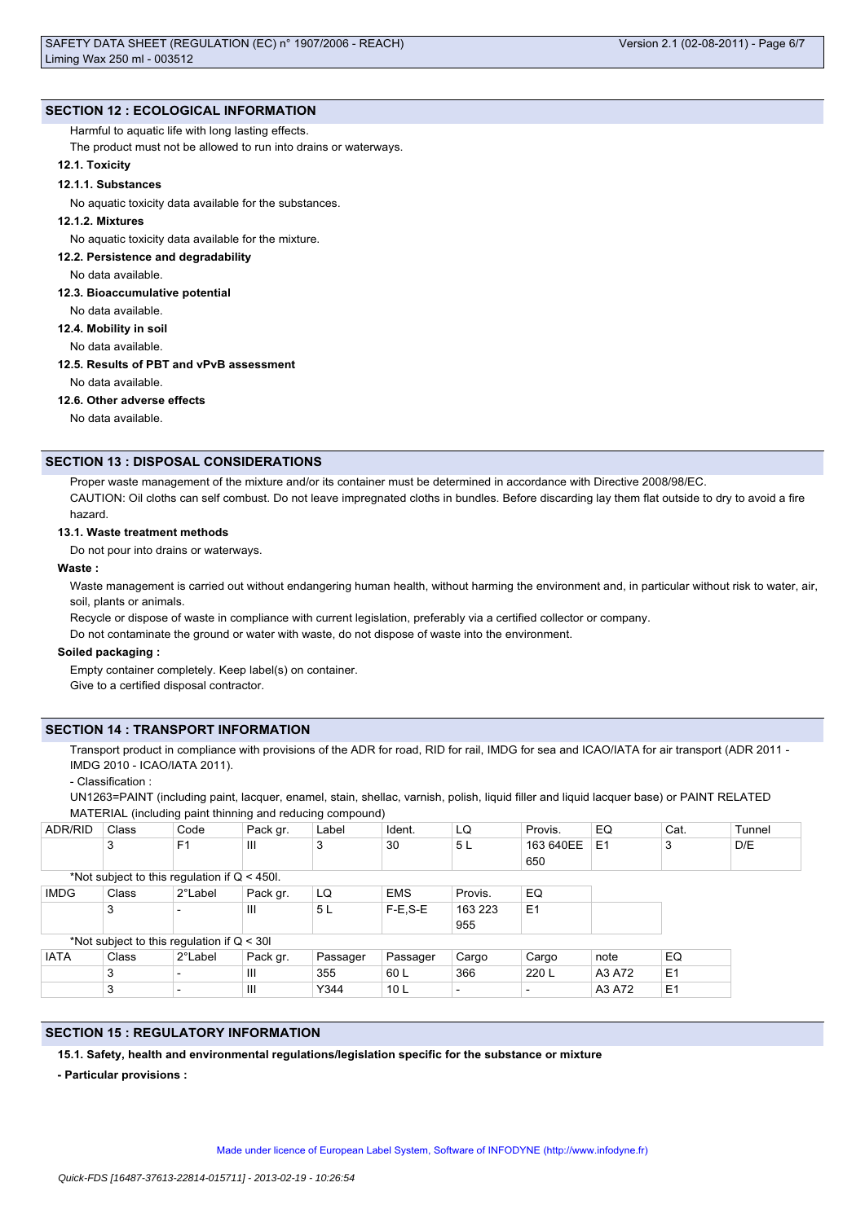## **SECTION 12 : ECOLOGICAL INFORMATION**

## Harmful to aquatic life with long lasting effects.

The product must not be allowed to run into drains or waterways.

## **12.1. Toxicity**

## **12.1.1. Substances**

No aquatic toxicity data available for the substances.

## **12.1.2. Mixtures**

No aquatic toxicity data available for the mixture.

## **12.2. Persistence and degradability**

No data available.

## **12.3. Bioaccumulative potential**

No data available.

## **12.4. Mobility in soil**

No data available.

## **12.5. Results of PBT and vPvB assessment**

No data available.

## **12.6. Other adverse effects**

No data available.

## **SECTION 13 : DISPOSAL CONSIDERATIONS**

Proper waste management of the mixture and/or its container must be determined in accordance with Directive 2008/98/EC. CAUTION: Oil cloths can self combust. Do not leave impregnated cloths in bundles. Before discarding lay them flat outside to dry to avoid a fire hazard.

## **13.1. Waste treatment methods**

Do not pour into drains or waterways.

### **Waste :**

Waste management is carried out without endangering human health, without harming the environment and, in particular without risk to water, air, soil, plants or animals.

Recycle or dispose of waste in compliance with current legislation, preferably via a certified collector or company.

Do not contaminate the ground or water with waste, do not dispose of waste into the environment.

### **Soiled packaging :**

Empty container completely. Keep label(s) on container. Give to a certified disposal contractor.

## **SECTION 14 : TRANSPORT INFORMATION**

Transport product in compliance with provisions of the ADR for road, RID for rail, IMDG for sea and ICAO/IATA for air transport (ADR 2011 -IMDG 2010 - ICAO/IATA 2011).

- Classification :

UN1263=PAINT (including paint, lacquer, enamel, stain, shellac, varnish, polish, liquid filler and liquid lacquer base) or PAINT RELATED MATERIAL (including paint thinning and reducing compound)

| <b>ADR/RID</b>                                 | Class | Code                     | Pack gr. | Label    | Ident.          | LQ                       | Provis.        | EQ     | Cat.           | Tunnel |
|------------------------------------------------|-------|--------------------------|----------|----------|-----------------|--------------------------|----------------|--------|----------------|--------|
|                                                | 3     | F <sub>1</sub>           | Ш        | 3        | 30              | 5 L                      | 163 640EE      | E1     | 3              | D/E    |
|                                                |       |                          |          |          |                 |                          | 650            |        |                |        |
| *Not subject to this regulation if $Q < 450$ . |       |                          |          |          |                 |                          |                |        |                |        |
| <b>IMDG</b>                                    | Class | 2°Label                  | Pack gr. | LQ       | <b>EMS</b>      | Provis.                  | EQ             |        |                |        |
|                                                | 3     | $\overline{\phantom{0}}$ | Ш        | 5L       | $F-E.S-E$       | 163 223                  | E <sub>1</sub> |        |                |        |
|                                                |       |                          |          |          |                 | 955                      |                |        |                |        |
| *Not subject to this regulation if $Q < 30I$   |       |                          |          |          |                 |                          |                |        |                |        |
| <b>IATA</b>                                    | Class | 2°Label                  | Pack gr. | Passager | Passager        | Cargo                    | Cargo          | note   | EQ             |        |
|                                                | 3     | $\overline{\phantom{0}}$ | III      | 355      | 60 L            | 366                      | 220 L          | A3 A72 | E <sub>1</sub> |        |
|                                                | 3     | $\overline{\phantom{a}}$ | Ш        | Y344     | 10 <sub>L</sub> | $\overline{\phantom{0}}$ |                | A3 A72 | E <sub>1</sub> |        |

## **SECTION 15 : REGULATORY INFORMATION**

**15.1. Safety, health and environmental regulations/legislation specific for the substance or mixture**

**- Particular provisions :**